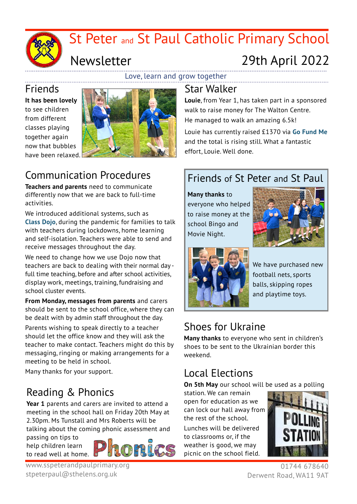

## Newsletter

# 29th April 2022

Love, learn and grow together

# Friends

**It has been lovely** to see children from different classes playing together again now that bubbles have been relaxed.



### Communication Procedures

**Teachers and parents** need to communicate differently now that we are back to full-time activities.

We introduced additional systems, such as **Class Dojo**, during the pandemic for families to talk with teachers during lockdowns, home learning and self-isolation. Teachers were able to send and receive messages throughout the day.

We need to change how we use Dojo now that teachers are back to dealing with their normal day full time teaching, before and after school activities, display work, meetings, training, fundraising and school cluster events.

**From Monday, messages from parents** and carers should be sent to the school office, where they can be dealt with by admin staff throughout the day.

Parents wishing to speak directly to a teacher should let the office know and they will ask the teacher to make contact. Teachers might do this by messaging, ringing or making arrangements for a meeting to be held in school.

Many thanks for your support.

## Reading & Phonics

**Year 1** parents and carers are invited to attend a meeting in the school hall on Friday 20th May at 2.30pm. Ms Tunstall and Mrs Roberts will be talking about the coming phonic assessment and

passing on tips to help children learn to read well at home.



### Star Walker

**Louie**, from Year 1, has taken part in a sponsored walk to raise money for The Walton Centre. He managed to walk an amazing 6.5k!

Louie has currently raised £1370 via **Go Fund Me**  and the total is rising still. What a fantastic effort, Louie. Well done.

#### Friends of St Peter and St Paul

**Many thanks** to everyone who helped to raise money at the school Bingo and Movie Night.





We have purchased new football nets, sports balls, skipping ropes and playtime toys.

#### Shoes for Ukraine

**Many thanks** to everyone who sent in children's shoes to be sent to the Ukrainian border this weekend.

#### Local Elections

**On 5th May** our school will be used as a polling

station. We can remain open for education as we can lock our hall away from the rest of the school. Lunches will be delivered to classrooms or, if the weather is good, we may picnic on the school field.



01744 678640 Derwent Road, WA11 9AT